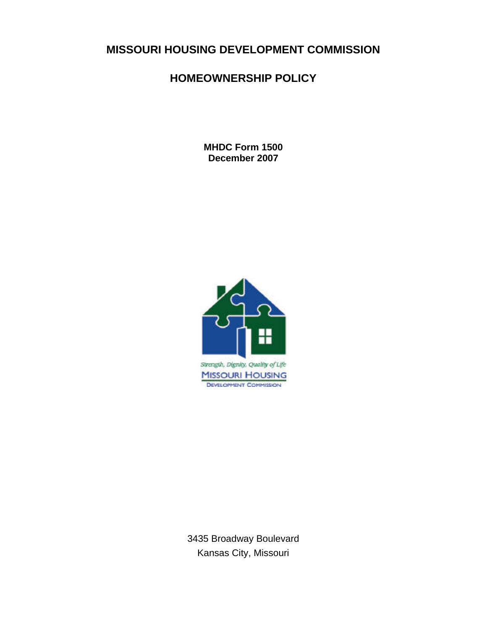# **MISSOURI HOUSING DEVELOPMENT COMMISSION**

# **HOMEOWNERSHIP POLICY**

**MHDC Form 1500 December 2007** 



3435 Broadway Boulevard Kansas City, Missouri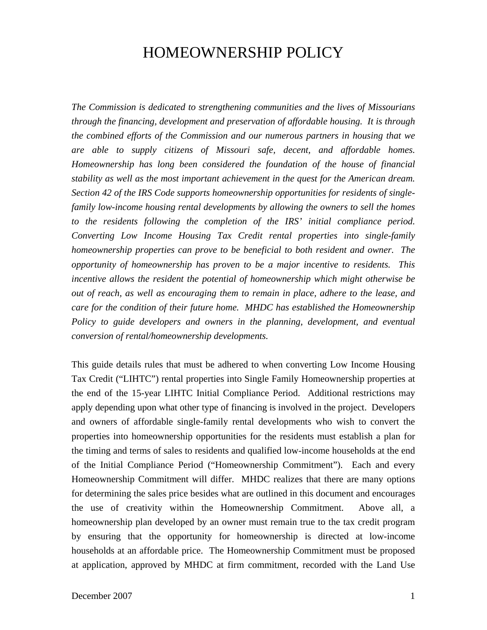# HOMEOWNERSHIP POLICY

*The Commission is dedicated to strengthening communities and the lives of Missourians through the financing, development and preservation of affordable housing. It is through the combined efforts of the Commission and our numerous partners in housing that we are able to supply citizens of Missouri safe, decent, and affordable homes. Homeownership has long been considered the foundation of the house of financial stability as well as the most important achievement in the quest for the American dream. Section 42 of the IRS Code supports homeownership opportunities for residents of singlefamily low-income housing rental developments by allowing the owners to sell the homes to the residents following the completion of the IRS' initial compliance period. Converting Low Income Housing Tax Credit rental properties into single-family homeownership properties can prove to be beneficial to both resident and owner. The opportunity of homeownership has proven to be a major incentive to residents. This incentive allows the resident the potential of homeownership which might otherwise be out of reach, as well as encouraging them to remain in place, adhere to the lease, and care for the condition of their future home. MHDC has established the Homeownership*  Policy to guide developers and owners in the planning, development, and eventual *conversion of rental/homeownership developments.*

This guide details rules that must be adhered to when converting Low Income Housing Tax Credit ("LIHTC") rental properties into Single Family Homeownership properties at the end of the 15-year LIHTC Initial Compliance Period. Additional restrictions may apply depending upon what other type of financing is involved in the project. Developers and owners of affordable single-family rental developments who wish to convert the properties into homeownership opportunities for the residents must establish a plan for the timing and terms of sales to residents and qualified low-income households at the end of the Initial Compliance Period ("Homeownership Commitment"). Each and every Homeownership Commitment will differ. MHDC realizes that there are many options for determining the sales price besides what are outlined in this document and encourages the use of creativity within the Homeownership Commitment. Above all, a homeownership plan developed by an owner must remain true to the tax credit program by ensuring that the opportunity for homeownership is directed at low-income households at an affordable price. The Homeownership Commitment must be proposed at application, approved by MHDC at firm commitment, recorded with the Land Use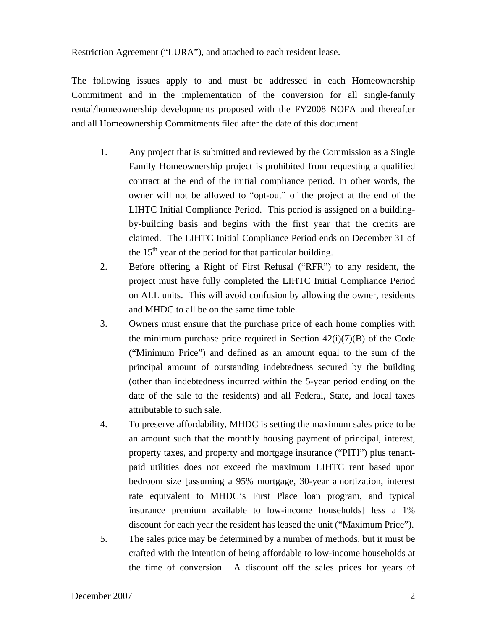Restriction Agreement ("LURA"), and attached to each resident lease.

The following issues apply to and must be addressed in each Homeownership Commitment and in the implementation of the conversion for all single-family rental/homeownership developments proposed with the FY2008 NOFA and thereafter and all Homeownership Commitments filed after the date of this document.

- 1. Any project that is submitted and reviewed by the Commission as a Single Family Homeownership project is prohibited from requesting a qualified contract at the end of the initial compliance period. In other words, the owner will not be allowed to "opt-out" of the project at the end of the LIHTC Initial Compliance Period. This period is assigned on a buildingby-building basis and begins with the first year that the credits are claimed. The LIHTC Initial Compliance Period ends on December 31 of the  $15<sup>th</sup>$  year of the period for that particular building.
- 2. Before offering a Right of First Refusal ("RFR") to any resident, the project must have fully completed the LIHTC Initial Compliance Period on ALL units. This will avoid confusion by allowing the owner, residents and MHDC to all be on the same time table.
- 3. Owners must ensure that the purchase price of each home complies with the minimum purchase price required in Section  $42(i)(7)(B)$  of the Code ("Minimum Price") and defined as an amount equal to the sum of the principal amount of outstanding indebtedness secured by the building (other than indebtedness incurred within the 5-year period ending on the date of the sale to the residents) and all Federal, State, and local taxes attributable to such sale.
- 4. To preserve affordability, MHDC is setting the maximum sales price to be an amount such that the monthly housing payment of principal, interest, property taxes, and property and mortgage insurance ("PITI") plus tenantpaid utilities does not exceed the maximum LIHTC rent based upon bedroom size [assuming a 95% mortgage, 30-year amortization, interest rate equivalent to MHDC's First Place loan program, and typical insurance premium available to low-income households] less a 1% discount for each year the resident has leased the unit ("Maximum Price").
- 5. The sales price may be determined by a number of methods, but it must be crafted with the intention of being affordable to low-income households at the time of conversion. A discount off the sales prices for years of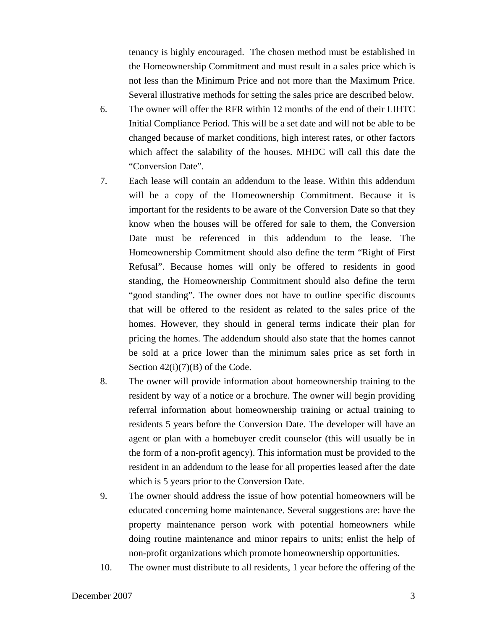tenancy is highly encouraged. The chosen method must be established in the Homeownership Commitment and must result in a sales price which is not less than the Minimum Price and not more than the Maximum Price. Several illustrative methods for setting the sales price are described below.

- 6. The owner will offer the RFR within 12 months of the end of their LIHTC Initial Compliance Period. This will be a set date and will not be able to be changed because of market conditions, high interest rates, or other factors which affect the salability of the houses. MHDC will call this date the "Conversion Date".
- 7. Each lease will contain an addendum to the lease. Within this addendum will be a copy of the Homeownership Commitment. Because it is important for the residents to be aware of the Conversion Date so that they know when the houses will be offered for sale to them, the Conversion Date must be referenced in this addendum to the lease. The Homeownership Commitment should also define the term "Right of First Refusal". Because homes will only be offered to residents in good standing, the Homeownership Commitment should also define the term "good standing". The owner does not have to outline specific discounts that will be offered to the resident as related to the sales price of the homes. However, they should in general terms indicate their plan for pricing the homes. The addendum should also state that the homes cannot be sold at a price lower than the minimum sales price as set forth in Section  $42(i)(7)(B)$  of the Code.
- 8. The owner will provide information about homeownership training to the resident by way of a notice or a brochure. The owner will begin providing referral information about homeownership training or actual training to residents 5 years before the Conversion Date. The developer will have an agent or plan with a homebuyer credit counselor (this will usually be in the form of a non-profit agency). This information must be provided to the resident in an addendum to the lease for all properties leased after the date which is 5 years prior to the Conversion Date.
- 9. The owner should address the issue of how potential homeowners will be educated concerning home maintenance. Several suggestions are: have the property maintenance person work with potential homeowners while doing routine maintenance and minor repairs to units; enlist the help of non-profit organizations which promote homeownership opportunities.
- 10. The owner must distribute to all residents, 1 year before the offering of the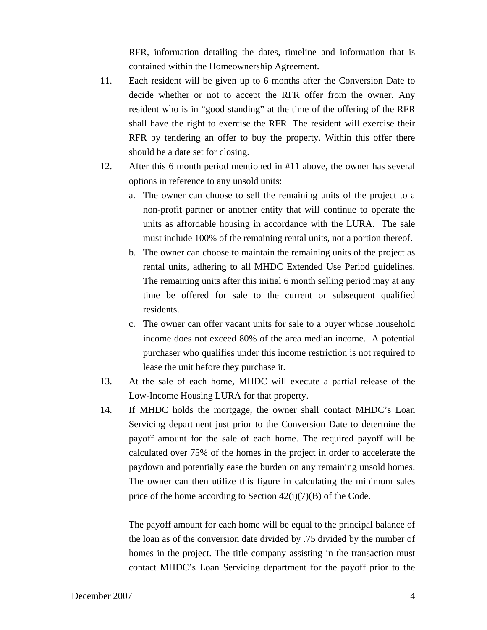RFR, information detailing the dates, timeline and information that is contained within the Homeownership Agreement.

- 11. Each resident will be given up to 6 months after the Conversion Date to decide whether or not to accept the RFR offer from the owner. Any resident who is in "good standing" at the time of the offering of the RFR shall have the right to exercise the RFR. The resident will exercise their RFR by tendering an offer to buy the property. Within this offer there should be a date set for closing.
- 12. After this 6 month period mentioned in #11 above, the owner has several options in reference to any unsold units:
	- a. The owner can choose to sell the remaining units of the project to a non-profit partner or another entity that will continue to operate the units as affordable housing in accordance with the LURA. The sale must include 100% of the remaining rental units, not a portion thereof.
	- b. The owner can choose to maintain the remaining units of the project as rental units, adhering to all MHDC Extended Use Period guidelines. The remaining units after this initial 6 month selling period may at any time be offered for sale to the current or subsequent qualified residents.
	- c. The owner can offer vacant units for sale to a buyer whose household income does not exceed 80% of the area median income. A potential purchaser who qualifies under this income restriction is not required to lease the unit before they purchase it.
- 13. At the sale of each home, MHDC will execute a partial release of the Low-Income Housing LURA for that property.
- 14. If MHDC holds the mortgage, the owner shall contact MHDC's Loan Servicing department just prior to the Conversion Date to determine the payoff amount for the sale of each home. The required payoff will be calculated over 75% of the homes in the project in order to accelerate the paydown and potentially ease the burden on any remaining unsold homes. The owner can then utilize this figure in calculating the minimum sales price of the home according to Section  $42(i)(7)(B)$  of the Code.

The payoff amount for each home will be equal to the principal balance of the loan as of the conversion date divided by .75 divided by the number of homes in the project. The title company assisting in the transaction must contact MHDC's Loan Servicing department for the payoff prior to the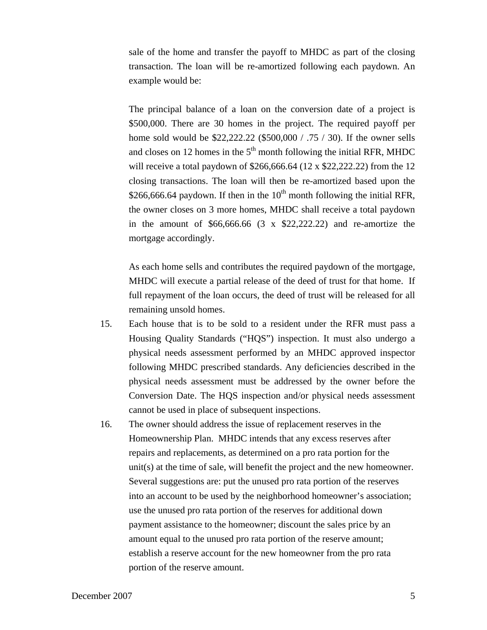sale of the home and transfer the payoff to MHDC as part of the closing transaction. The loan will be re-amortized following each paydown. An example would be:

The principal balance of a loan on the conversion date of a project is \$500,000. There are 30 homes in the project. The required payoff per home sold would be \$22,222.22 (\$500,000 / .75 / 30). If the owner sells and closes on 12 homes in the  $5<sup>th</sup>$  month following the initial RFR, MHDC will receive a total paydown of \$266,666.64 (12 x \$22,222.22) from the 12 closing transactions. The loan will then be re-amortized based upon the \$266,666.64 paydown. If then in the  $10^{th}$  month following the initial RFR, the owner closes on 3 more homes, MHDC shall receive a total paydown in the amount of  $$66,666.66$   $(3 \times $22,222.22)$  and re-amortize the mortgage accordingly.

As each home sells and contributes the required paydown of the mortgage, MHDC will execute a partial release of the deed of trust for that home. If full repayment of the loan occurs, the deed of trust will be released for all remaining unsold homes.

- 15. Each house that is to be sold to a resident under the RFR must pass a Housing Quality Standards ("HQS") inspection. It must also undergo a physical needs assessment performed by an MHDC approved inspector following MHDC prescribed standards. Any deficiencies described in the physical needs assessment must be addressed by the owner before the Conversion Date. The HQS inspection and/or physical needs assessment cannot be used in place of subsequent inspections.
- 16. The owner should address the issue of replacement reserves in the Homeownership Plan. MHDC intends that any excess reserves after repairs and replacements, as determined on a pro rata portion for the unit(s) at the time of sale, will benefit the project and the new homeowner. Several suggestions are: put the unused pro rata portion of the reserves into an account to be used by the neighborhood homeowner's association; use the unused pro rata portion of the reserves for additional down payment assistance to the homeowner; discount the sales price by an amount equal to the unused pro rata portion of the reserve amount; establish a reserve account for the new homeowner from the pro rata portion of the reserve amount.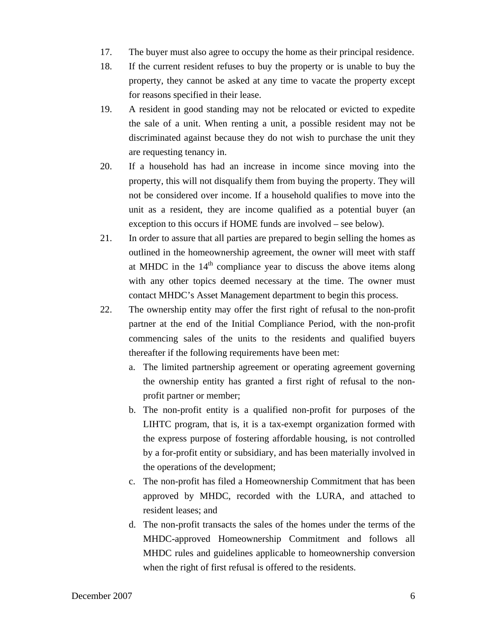- 17. The buyer must also agree to occupy the home as their principal residence.
- 18. If the current resident refuses to buy the property or is unable to buy the property, they cannot be asked at any time to vacate the property except for reasons specified in their lease.
- 19. A resident in good standing may not be relocated or evicted to expedite the sale of a unit. When renting a unit, a possible resident may not be discriminated against because they do not wish to purchase the unit they are requesting tenancy in.
- 20. If a household has had an increase in income since moving into the property, this will not disqualify them from buying the property. They will not be considered over income. If a household qualifies to move into the unit as a resident, they are income qualified as a potential buyer (an exception to this occurs if HOME funds are involved – see below).
- 21. In order to assure that all parties are prepared to begin selling the homes as outlined in the homeownership agreement, the owner will meet with staff at MHDC in the  $14<sup>th</sup>$  compliance year to discuss the above items along with any other topics deemed necessary at the time. The owner must contact MHDC's Asset Management department to begin this process.
- 22. The ownership entity may offer the first right of refusal to the non-profit partner at the end of the Initial Compliance Period, with the non-profit commencing sales of the units to the residents and qualified buyers thereafter if the following requirements have been met:
	- a. The limited partnership agreement or operating agreement governing the ownership entity has granted a first right of refusal to the nonprofit partner or member;
	- b. The non-profit entity is a qualified non-profit for purposes of the LIHTC program, that is, it is a tax-exempt organization formed with the express purpose of fostering affordable housing, is not controlled by a for-profit entity or subsidiary, and has been materially involved in the operations of the development;
	- c. The non-profit has filed a Homeownership Commitment that has been approved by MHDC, recorded with the LURA, and attached to resident leases; and
	- d. The non-profit transacts the sales of the homes under the terms of the MHDC-approved Homeownership Commitment and follows all MHDC rules and guidelines applicable to homeownership conversion when the right of first refusal is offered to the residents.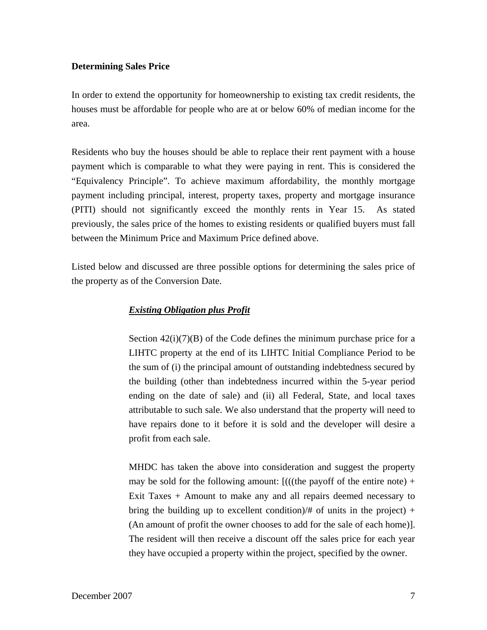## **Determining Sales Price**

In order to extend the opportunity for homeownership to existing tax credit residents, the houses must be affordable for people who are at or below 60% of median income for the area.

Residents who buy the houses should be able to replace their rent payment with a house payment which is comparable to what they were paying in rent. This is considered the "Equivalency Principle". To achieve maximum affordability, the monthly mortgage payment including principal, interest, property taxes, property and mortgage insurance (PITI) should not significantly exceed the monthly rents in Year 15. As stated previously, the sales price of the homes to existing residents or qualified buyers must fall between the Minimum Price and Maximum Price defined above.

Listed below and discussed are three possible options for determining the sales price of the property as of the Conversion Date.

## *Existing Obligation plus Profit*

Section  $42(i)(7)(B)$  of the Code defines the minimum purchase price for a LIHTC property at the end of its LIHTC Initial Compliance Period to be the sum of (i) the principal amount of outstanding indebtedness secured by the building (other than indebtedness incurred within the 5-year period ending on the date of sale) and (ii) all Federal, State, and local taxes attributable to such sale. We also understand that the property will need to have repairs done to it before it is sold and the developer will desire a profit from each sale.

MHDC has taken the above into consideration and suggest the property may be sold for the following amount:  $[(({theta\ pay off\ of\ the\ entire\ note}) +$ Exit Taxes + Amount to make any and all repairs deemed necessary to bring the building up to excellent condition)/# of units in the project) + (An amount of profit the owner chooses to add for the sale of each home)]. The resident will then receive a discount off the sales price for each year they have occupied a property within the project, specified by the owner.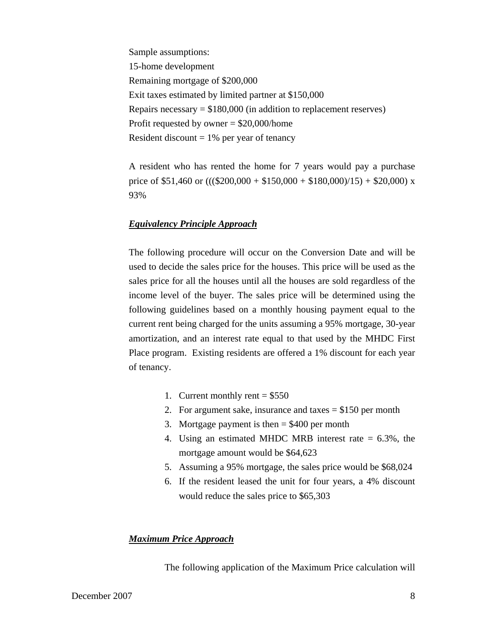Sample assumptions: 15-home development Remaining mortgage of \$200,000 Exit taxes estimated by limited partner at \$150,000 Repairs necessary  $= $180,000$  (in addition to replacement reserves) Profit requested by owner = \$20,000/home Resident discount  $= 1\%$  per year of tenancy

A resident who has rented the home for 7 years would pay a purchase price of \$51,460 or  $(((\$200,000 + \$150,000 + \$180,000)/15) + \$20,000)$  x 93%

### *Equivalency Principle Approach*

The following procedure will occur on the Conversion Date and will be used to decide the sales price for the houses. This price will be used as the sales price for all the houses until all the houses are sold regardless of the income level of the buyer. The sales price will be determined using the following guidelines based on a monthly housing payment equal to the current rent being charged for the units assuming a 95% mortgage, 30-year amortization, and an interest rate equal to that used by the MHDC First Place program. Existing residents are offered a 1% discount for each year of tenancy.

- 1. Current monthly rent  $= $550$
- 2. For argument sake, insurance and taxes = \$150 per month
- 3. Mortgage payment is then  $= $400$  per month
- 4. Using an estimated MHDC MRB interest rate = 6.3%, the mortgage amount would be \$64,623
- 5. Assuming a 95% mortgage, the sales price would be \$68,024
- 6. If the resident leased the unit for four years, a 4% discount would reduce the sales price to \$65,303

### *Maximum Price Approach*

The following application of the Maximum Price calculation will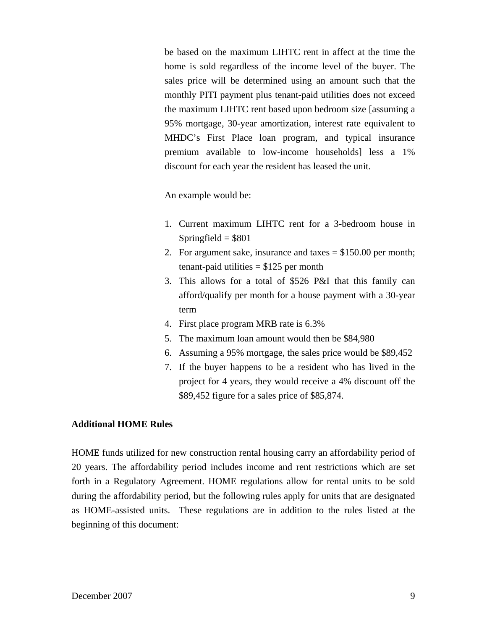be based on the maximum LIHTC rent in affect at the time the home is sold regardless of the income level of the buyer. The sales price will be determined using an amount such that the monthly PITI payment plus tenant-paid utilities does not exceed the maximum LIHTC rent based upon bedroom size [assuming a 95% mortgage, 30-year amortization, interest rate equivalent to MHDC's First Place loan program, and typical insurance premium available to low-income households] less a 1% discount for each year the resident has leased the unit.

An example would be:

- 1. Current maximum LIHTC rent for a 3-bedroom house in Springfield  $= $801$
- 2. For argument sake, insurance and taxes  $= $150.00$  per month; tenant-paid utilities  $= $125$  per month
- 3. This allows for a total of \$526 P&I that this family can afford/qualify per month for a house payment with a 30-year term
- 4. First place program MRB rate is 6.3%
- 5. The maximum loan amount would then be \$84,980
- 6. Assuming a 95% mortgage, the sales price would be \$89,452
- 7. If the buyer happens to be a resident who has lived in the project for 4 years, they would receive a 4% discount off the \$89,452 figure for a sales price of \$85,874.

### **Additional HOME Rules**

HOME funds utilized for new construction rental housing carry an affordability period of 20 years. The affordability period includes income and rent restrictions which are set forth in a Regulatory Agreement. HOME regulations allow for rental units to be sold during the affordability period, but the following rules apply for units that are designated as HOME-assisted units. These regulations are in addition to the rules listed at the beginning of this document: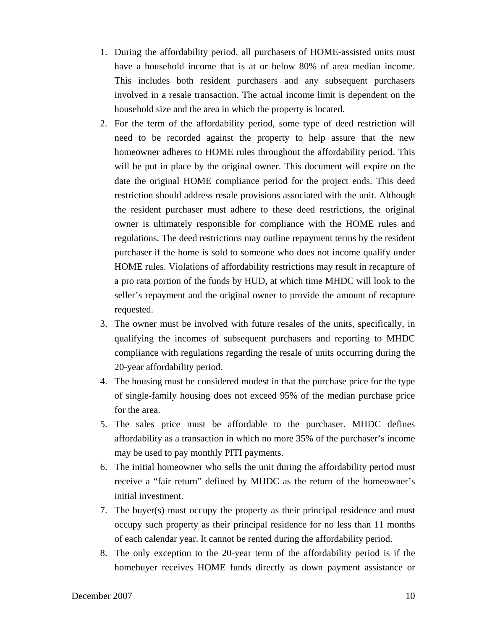- 1. During the affordability period, all purchasers of HOME-assisted units must have a household income that is at or below 80% of area median income. This includes both resident purchasers and any subsequent purchasers involved in a resale transaction. The actual income limit is dependent on the household size and the area in which the property is located.
- 2. For the term of the affordability period, some type of deed restriction will need to be recorded against the property to help assure that the new homeowner adheres to HOME rules throughout the affordability period. This will be put in place by the original owner. This document will expire on the date the original HOME compliance period for the project ends. This deed restriction should address resale provisions associated with the unit. Although the resident purchaser must adhere to these deed restrictions, the original owner is ultimately responsible for compliance with the HOME rules and regulations. The deed restrictions may outline repayment terms by the resident purchaser if the home is sold to someone who does not income qualify under HOME rules. Violations of affordability restrictions may result in recapture of a pro rata portion of the funds by HUD, at which time MHDC will look to the seller's repayment and the original owner to provide the amount of recapture requested.
- 3. The owner must be involved with future resales of the units, specifically, in qualifying the incomes of subsequent purchasers and reporting to MHDC compliance with regulations regarding the resale of units occurring during the 20-year affordability period.
- 4. The housing must be considered modest in that the purchase price for the type of single-family housing does not exceed 95% of the median purchase price for the area.
- 5. The sales price must be affordable to the purchaser. MHDC defines affordability as a transaction in which no more 35% of the purchaser's income may be used to pay monthly PITI payments.
- 6. The initial homeowner who sells the unit during the affordability period must receive a "fair return" defined by MHDC as the return of the homeowner's initial investment.
- 7. The buyer(s) must occupy the property as their principal residence and must occupy such property as their principal residence for no less than 11 months of each calendar year. It cannot be rented during the affordability period.
- 8. The only exception to the 20-year term of the affordability period is if the homebuyer receives HOME funds directly as down payment assistance or